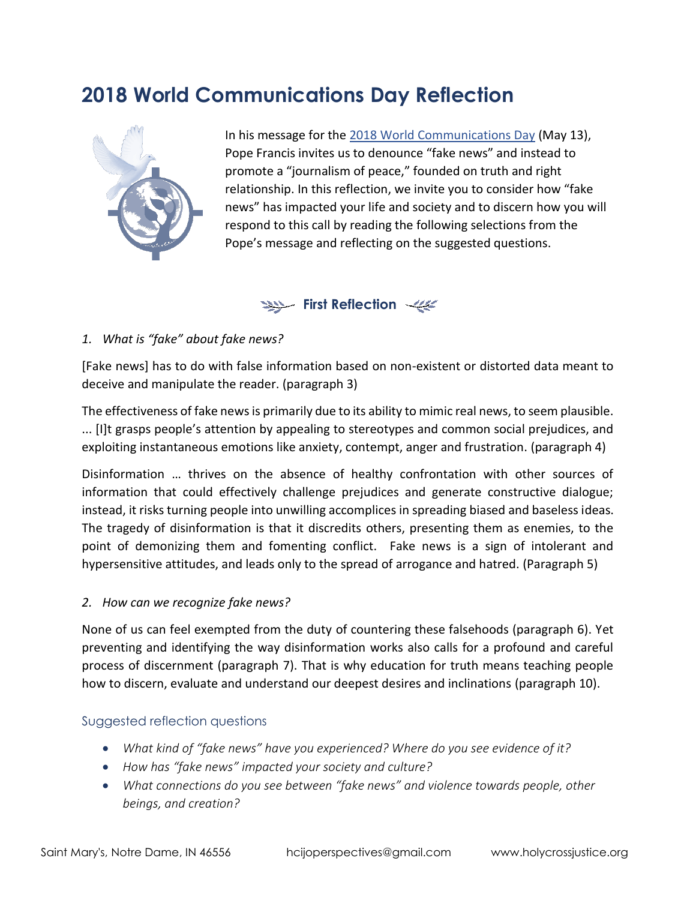# **2018 World Communications Day Reflection**



In his message for the [2018 World Communications Day](https://w2.vatican.va/content/francesco/en/messages/communications/documents/papa-francesco_20180124_messaggio-comunicazioni-sociali.html) (May 13), Pope Francis invites us to denounce "fake news" and instead to promote a "journalism of peace," founded on truth and right relationship. In this reflection, we invite you to consider how "fake news" has impacted your life and society and to discern how you will respond to this call by reading the following selections from the Pope's message and reflecting on the suggested questions.

# **First Reflection**

## *1. What is "fake" about fake news?*

[Fake news] has to do with false information based on non-existent or distorted data meant to deceive and manipulate the reader. (paragraph 3)

The effectiveness of fake news is primarily due to its ability to mimic real news, to seem plausible. ... [I]t grasps people's attention by appealing to stereotypes and common social prejudices, and exploiting instantaneous emotions like anxiety, contempt, anger and frustration. (paragraph 4)

Disinformation … thrives on the absence of healthy confrontation with other sources of information that could effectively challenge prejudices and generate constructive dialogue; instead, it risks turning people into unwilling accomplices in spreading biased and baseless ideas. The tragedy of disinformation is that it discredits others, presenting them as enemies, to the point of demonizing them and fomenting conflict. Fake news is a sign of intolerant and hypersensitive attitudes, and leads only to the spread of arrogance and hatred. (Paragraph 5)

#### *2. How can we recognize fake news?*

None of us can feel exempted from the duty of countering these falsehoods (paragraph 6). Yet preventing and identifying the way disinformation works also calls for a profound and careful process of discernment (paragraph 7). That is why education for truth means teaching people how to discern, evaluate and understand our deepest desires and inclinations (paragraph 10).

#### Suggested reflection questions

- *What kind of "fake news" have you experienced? Where do you see evidence of it?*
- *How has "fake news" impacted your society and culture?*
- *What connections do you see between "fake news" and violence towards people, other beings, and creation?*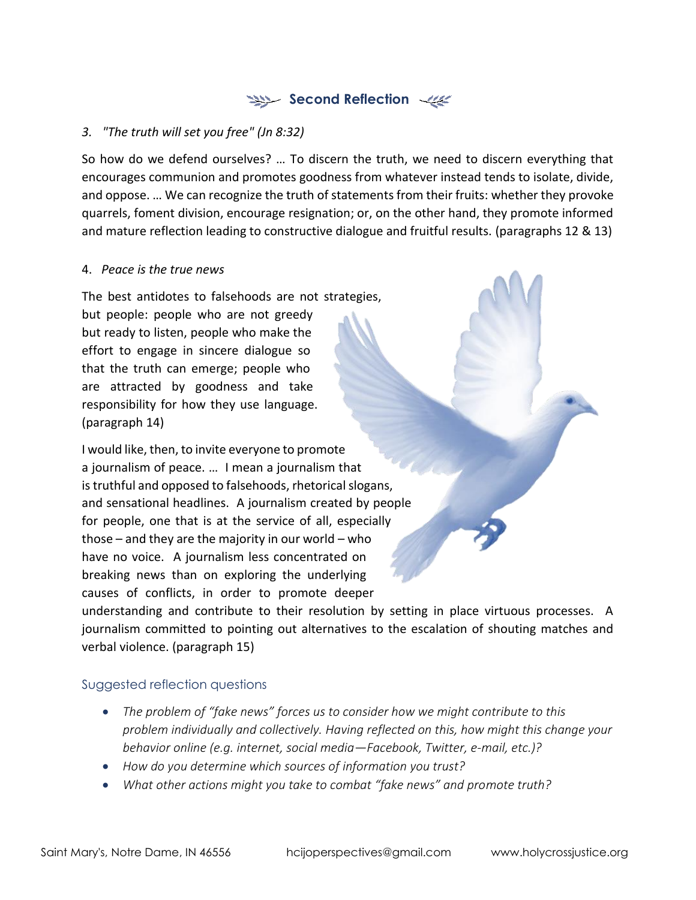# **Second Reflection**

## *3. "The truth will set you free" (Jn 8:32)*

So how do we defend ourselves? … To discern the truth, we need to discern everything that encourages communion and promotes goodness from whatever instead tends to isolate, divide, and oppose. … We can recognize the truth of statements from their fruits: whether they provoke quarrels, foment division, encourage resignation; or, on the other hand, they promote informed and mature reflection leading to constructive dialogue and fruitful results. (paragraphs 12 & 13)

#### 4. *Peace is the true news*

The best antidotes to falsehoods are not strategies, but people: people who are not greedy but ready to listen, people who make the effort to engage in sincere dialogue so that the truth can emerge; people who are attracted by goodness and take responsibility for how they use language. (paragraph 14)

I would like, then, to invite everyone to promote a journalism of peace. … I mean a journalism that is truthful and opposed to falsehoods, rhetorical slogans, and sensational headlines. A journalism created by people for people, one that is at the service of all, especially those – and they are the majority in our world – who have no voice. A journalism less concentrated on breaking news than on exploring the underlying causes of conflicts, in order to promote deeper

understanding and contribute to their resolution by setting in place virtuous processes. A journalism committed to pointing out alternatives to the escalation of shouting matches and verbal violence. (paragraph 15)

## Suggested reflection questions

- *The problem of "fake news" forces us to consider how we might contribute to this problem individually and collectively. Having reflected on this, how might this change your behavior online (e.g. internet, social media—Facebook, Twitter, e-mail, etc.)?*
- *How do you determine which sources of information you trust?*
- *What other actions might you take to combat "fake news" and promote truth?*